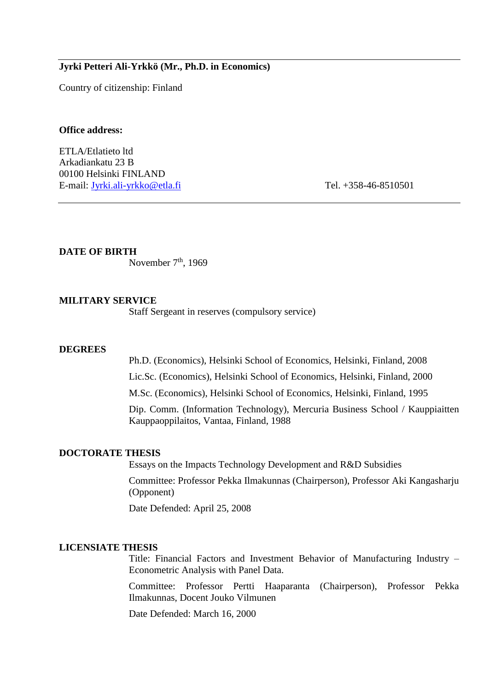## **Jyrki Petteri Ali-Yrkkö (Mr., Ph.D. in Economics)**

Country of citizenship: Finland

## **Office address:**

ETLA/Etlatieto ltd Arkadiankatu 23 B 00100 Helsinki FINLAND E-mail: [Jyrki.ali-yrkko@etla.fi](mailto:Jyrki.ali-yrkko@etla.fi) Tel. +358-46-8510501

**DATE OF BIRTH**

November  $7<sup>th</sup>$ , 1969

## **MILITARY SERVICE**

Staff Sergeant in reserves (compulsory service)

#### **DEGREES**

Ph.D. (Economics), Helsinki School of Economics, Helsinki, Finland, 2008

Lic.Sc. (Economics), Helsinki School of Economics, Helsinki, Finland, 2000

M.Sc. (Economics), Helsinki School of Economics, Helsinki, Finland, 1995

Dip. Comm. (Information Technology), Mercuria Business School / Kauppiaitten Kauppaoppilaitos, Vantaa, Finland, 1988

#### **DOCTORATE THESIS**

Essays on the Impacts Technology Development and R&D Subsidies

Committee: Professor Pekka Ilmakunnas (Chairperson), Professor Aki Kangasharju (Opponent)

Date Defended: April 25, 2008

## **LICENSIATE THESIS**

Title: Financial Factors and Investment Behavior of Manufacturing Industry – Econometric Analysis with Panel Data.

Committee: Professor Pertti Haaparanta (Chairperson), Professor Pekka Ilmakunnas, Docent Jouko Vilmunen

Date Defended: March 16, 2000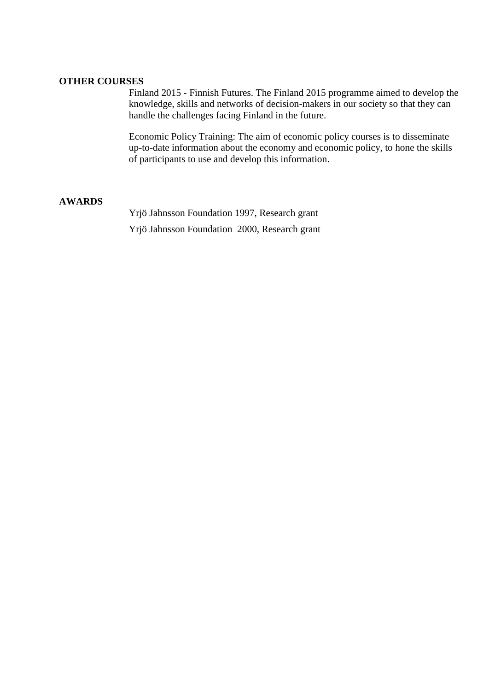# **OTHER COURSES**

Finland 2015 - Finnish Futures. The Finland 2015 programme aimed to develop the knowledge, skills and networks of decision-makers in our society so that they can handle the challenges facing Finland in the future.

Economic Policy Training: The aim of economic policy courses is to disseminate up-to-date information about the economy and economic policy, to hone the skills of participants to use and develop this information.

## **AWARDS**

Yrjö Jahnsson Foundation 1997, Research grant Yrjö Jahnsson Foundation 2000, Research grant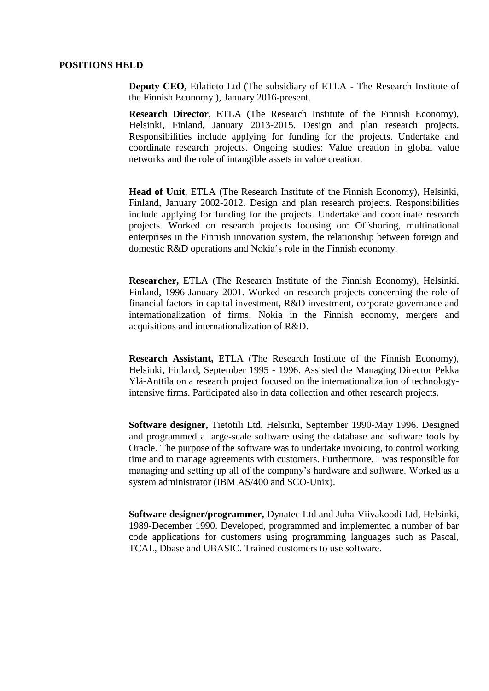#### **POSITIONS HELD**

**Deputy CEO, Etlatieto Ltd (The subsidiary of ETLA - The Research Institute of** the Finnish Economy ), January 2016-present.

**Research Director**, ETLA (The Research Institute of the Finnish Economy), Helsinki, Finland, January 2013-2015. Design and plan research projects. Responsibilities include applying for funding for the projects. Undertake and coordinate research projects. Ongoing studies: Value creation in global value networks and the role of intangible assets in value creation.

**Head of Unit**, ETLA (The Research Institute of the Finnish Economy), Helsinki, Finland, January 2002-2012. Design and plan research projects. Responsibilities include applying for funding for the projects. Undertake and coordinate research projects. Worked on research projects focusing on: Offshoring, multinational enterprises in the Finnish innovation system, the relationship between foreign and domestic R&D operations and Nokia's role in the Finnish economy.

**Researcher,** ETLA (The Research Institute of the Finnish Economy), Helsinki, Finland, 1996-January 2001. Worked on research projects concerning the role of financial factors in capital investment, R&D investment, corporate governance and internationalization of firms, Nokia in the Finnish economy, mergers and acquisitions and internationalization of R&D.

**Research Assistant,** ETLA (The Research Institute of the Finnish Economy), Helsinki, Finland, September 1995 - 1996. Assisted the Managing Director Pekka Ylä-Anttila on a research project focused on the internationalization of technologyintensive firms. Participated also in data collection and other research projects.

**Software designer,** Tietotili Ltd, Helsinki, September 1990-May 1996. Designed and programmed a large-scale software using the database and software tools by Oracle. The purpose of the software was to undertake invoicing, to control working time and to manage agreements with customers. Furthermore, I was responsible for managing and setting up all of the company's hardware and software. Worked as a system administrator (IBM AS/400 and SCO-Unix).

**Software designer/programmer,** Dynatec Ltd and Juha-Viivakoodi Ltd, Helsinki, 1989-December 1990. Developed, programmed and implemented a number of bar code applications for customers using programming languages such as Pascal, TCAL, Dbase and UBASIC. Trained customers to use software.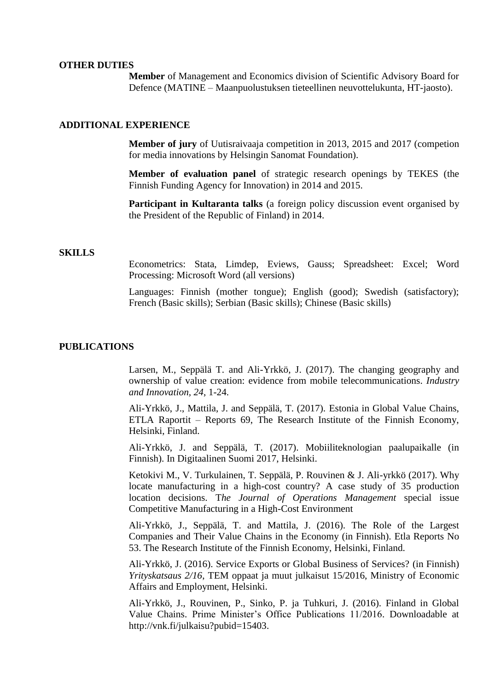#### **OTHER DUTIES**

**Member** of Management and Economics division of Scientific Advisory Board for Defence (MATINE – Maanpuolustuksen tieteellinen neuvottelukunta, HT-jaosto).

## **ADDITIONAL EXPERIENCE**

**Member of jury** of Uutisraivaaja competition in 2013, 2015 and 2017 (competion for media innovations by Helsingin Sanomat Foundation).

**Member of evaluation panel** of strategic research openings by TEKES (the Finnish Funding Agency for Innovation) in 2014 and 2015.

**Participant in Kultaranta talks** (a foreign policy discussion event organised by the President of the Republic of Finland) in 2014.

#### **SKILLS**

Econometrics: Stata, Limdep, Eviews, Gauss; Spreadsheet: Excel; Word Processing: Microsoft Word (all versions)

Languages: Finnish (mother tongue); English (good); Swedish (satisfactory); French (Basic skills); Serbian (Basic skills); Chinese (Basic skills)

## **PUBLICATIONS**

Larsen, M., Seppälä T. and Ali-Yrkkö, J. (2017). The changing geography and ownership of value creation: evidence from mobile telecommunications. *Industry and Innovation, 24*, 1-24.

Ali-Yrkkö, J., Mattila, J. and Seppälä, T. (2017). Estonia in Global Value Chains, ETLA Raportit – Reports 69, The Research Institute of the Finnish Economy, Helsinki, Finland.

Ali-Yrkkö, J. and Seppälä, T. (2017). Mobiiliteknologian paalupaikalle (in Finnish). In Digitaalinen Suomi 2017, Helsinki.

Ketokivi M., V. Turkulainen, T. Seppälä, P. Rouvinen & J. Ali-yrkkö (2017). Why locate manufacturing in a high-cost country? A case study of 35 production location decisions. T*he Journal of Operations Management* special issue Competitive Manufacturing in a High-Cost Environment

Ali-Yrkkö, J., Seppälä, T. and Mattila, J. (2016). The Role of the Largest Companies and Their Value Chains in the Economy (in Finnish). Etla Reports No 53. The Research Institute of the Finnish Economy, Helsinki, Finland.

Ali-Yrkkö, J. (2016). Service Exports or Global Business of Services? (in Finnish) *Yrityskatsaus 2/16*, TEM oppaat ja muut julkaisut 15/2016, Ministry of Economic Affairs and Employment, Helsinki.

Ali-Yrkkö, J., Rouvinen, P., Sinko, P. ja Tuhkuri, J. (2016). Finland in Global Value Chains. Prime Minister's Office Publications 11/2016. Downloadable at http://vnk.fi/julkaisu?pubid=15403.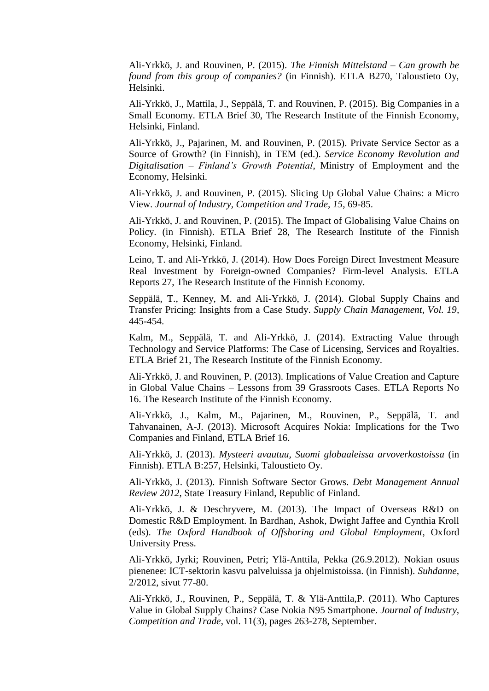Ali-Yrkkö, J. and Rouvinen, P. (2015). *The Finnish Mittelstand – Can growth be found from this group of companies?* (in Finnish). ETLA B270, Taloustieto Oy, Helsinki.

Ali-Yrkkö, J., Mattila, J., Seppälä, T. and Rouvinen, P. (2015). Big Companies in a Small Economy. ETLA Brief 30, The Research Institute of the Finnish Economy, Helsinki, Finland.

Ali-Yrkkö, J., Pajarinen, M. and Rouvinen, P. (2015). Private Service Sector as a Source of Growth? (in Finnish), in TEM (ed.). *Service Economy Revolution and Digitalisation – Finland's Growth Potential*, Ministry of Employment and the Economy, Helsinki.

Ali-Yrkkö, J. and Rouvinen, P. (2015). Slicing Up Global Value Chains: a Micro View. *Journal of Industry, Competition and Trade, 15*, 69-85.

Ali-Yrkkö, J. and Rouvinen, P. (2015). The Impact of Globalising Value Chains on Policy. (in Finnish). ETLA Brief 28, The Research Institute of the Finnish Economy, Helsinki, Finland.

Leino, T. and Ali-Yrkkö, J. (2014). How Does Foreign Direct Investment Measure Real Investment by Foreign-owned Companies? Firm-level Analysis. ETLA Reports 27, The Research Institute of the Finnish Economy.

Seppälä, T., Kenney, M. and Ali-Yrkkö, J. (2014). Global Supply Chains and Transfer Pricing: Insights from a Case Study. *Supply Chain Management, Vol. 19,*  445-454.

Kalm, M., Seppälä, T. and Ali-Yrkkö, J. (2014). Extracting Value through Technology and Service Platforms: The Case of Licensing, Services and Royalties. ETLA Brief 21, The Research Institute of the Finnish Economy.

Ali-Yrkkö, J. and Rouvinen, P. (2013). Implications of Value Creation and Capture in Global Value Chains – Lessons from 39 Grassroots Cases. ETLA Reports No 16. The Research Institute of the Finnish Economy.

Ali-Yrkkö, J., Kalm, M., Pajarinen, M., Rouvinen, P., Seppälä, T. and Tahvanainen, A-J. (2013). Microsoft Acquires Nokia: Implications for the Two Companies and Finland, ETLA Brief 16.

Ali-Yrkkö, J. (2013). *Mysteeri avautuu, Suomi globaaleissa arvoverkostoissa* (in Finnish). ETLA B:257, Helsinki, Taloustieto Oy.

Ali-Yrkkö, J. (2013). Finnish Software Sector Grows. *Debt Management Annual Review 2012,* State Treasury Finland, Republic of Finland.

Ali-Yrkkö, J. & Deschryvere, M. (2013). The Impact of Overseas R&D on Domestic R&D Employment. In Bardhan, Ashok, Dwight Jaffee and Cynthia Kroll (eds). *The Oxford Handbook of Offshoring and Global Employment*, Oxford University Press.

Ali-Yrkkö, Jyrki; Rouvinen, Petri; Ylä-Anttila, Pekka (26.9.2012). Nokian osuus pienenee: ICT-sektorin kasvu palveluissa ja ohjelmistoissa. (in Finnish). *Suhdanne*, 2/2012, sivut 77-80.

Ali-Yrkkö, J., Rouvinen, P., Seppälä, T. & Ylä-Anttila,P. (2011). Who Captures Value in Global Supply Chains? Case Nokia N95 Smartphone. *Journal of Industry, Competition and Trade*, vol. 11(3), pages 263-278, September.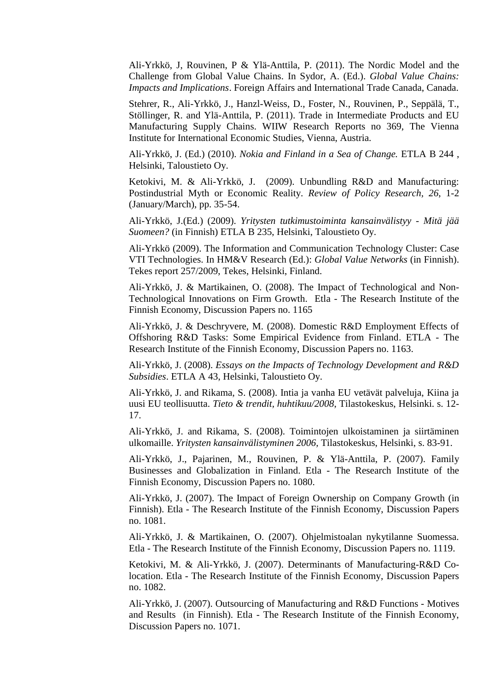Ali-Yrkkö, J, Rouvinen, P & Ylä-Anttila, P. (2011). The Nordic Model and the Challenge from Global Value Chains. In Sydor, A. (Ed.). *Global Value Chains: Impacts and Implications*. Foreign Affairs and International Trade Canada, Canada.

Stehrer, R., Ali-Yrkkö, J., Hanzl-Weiss, D., Foster, N., Rouvinen, P., Seppälä, T., Stöllinger, R. and Ylä-Anttila, P. (2011). Trade in Intermediate Products and EU Manufacturing Supply Chains. WIIW Research Reports no 369, The Vienna Institute for International Economic Studies, Vienna, Austria.

Ali-Yrkkö, J. (Ed.) (2010). *Nokia and Finland in a Sea of Change.* ETLA B 244 , Helsinki, Taloustieto Oy.

Ketokivi, M. & Ali-Yrkkö, J. (2009). Unbundling R&D and Manufacturing: Postindustrial Myth or Economic Reality. *Review of Policy Research, 26*, 1-2 (January/March), pp. 35-54.

Ali-Yrkkö, J.(Ed.) (2009). *Yritysten tutkimustoiminta kansainvälistyy - Mitä jää Suomeen?* (in Finnish) ETLA B 235, Helsinki, Taloustieto Oy.

Ali-Yrkkö (2009). The Information and Communication Technology Cluster: Case VTI Technologies. In HM&V Research (Ed.): *Global Value Networks* (in Finnish). Tekes report 257/2009, Tekes, Helsinki, Finland.

Ali-Yrkkö, J. & Martikainen, O. (2008). The Impact of Technological and Non-Technological Innovations on Firm Growth. Etla - The Research Institute of the Finnish Economy, Discussion Papers no. 1165

Ali-Yrkkö, J. & Deschryvere, M. (2008). Domestic R&D Employment Effects of Offshoring R&D Tasks: Some Empirical Evidence from Finland. ETLA - The Research Institute of the Finnish Economy, Discussion Papers no. 1163.

Ali-Yrkkö, J. (2008). *Essays on the Impacts of Technology Development and R&D Subsidies*. ETLA A 43, Helsinki, Taloustieto Oy.

Ali-Yrkkö, J. and Rikama, S. (2008). Intia ja vanha EU vetävät palveluja, Kiina ja uusi EU teollisuutta. *Tieto & trendit, huhtikuu/2008*, Tilastokeskus, Helsinki. s. 12- 17.

Ali-Yrkkö, J. and Rikama, S. (2008). Toimintojen ulkoistaminen ja siirtäminen ulkomaille. *Yritysten kansainvälistyminen 2006,* Tilastokeskus, Helsinki, s. 83-91.

Ali-Yrkkö, J., Pajarinen, M., Rouvinen, P. & Ylä-Anttila, P. (2007). Family Businesses and Globalization in Finland. Etla - The Research Institute of the Finnish Economy, Discussion Papers no. 1080.

Ali-Yrkkö, J. (2007). The Impact of Foreign Ownership on Company Growth (in Finnish). Etla - The Research Institute of the Finnish Economy, Discussion Papers no. 1081.

Ali-Yrkkö, J. & Martikainen, O. (2007). Ohjelmistoalan nykytilanne Suomessa. Etla - The Research Institute of the Finnish Economy, Discussion Papers no. 1119.

Ketokivi, M. & Ali-Yrkkö, J. (2007). Determinants of Manufacturing-R&D Colocation. Etla - The Research Institute of the Finnish Economy, Discussion Papers no. 1082.

Ali-Yrkkö, J. (2007). Outsourcing of Manufacturing and R&D Functions - Motives and Results (in Finnish). Etla - The Research Institute of the Finnish Economy, Discussion Papers no. 1071.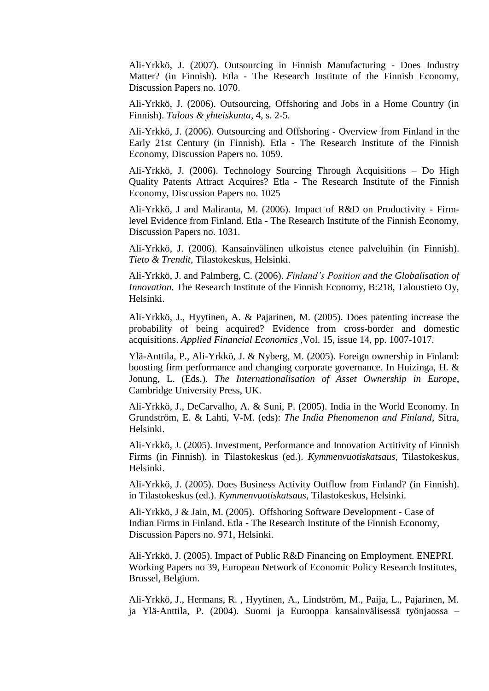Ali-Yrkkö, J. (2007). Outsourcing in Finnish Manufacturing - Does Industry Matter? (in Finnish). Etla - The Research Institute of the Finnish Economy, Discussion Papers no. 1070.

Ali-Yrkkö, J. (2006). Outsourcing, Offshoring and Jobs in a Home Country (in Finnish). *Talous & yhteiskunta,* 4, s. 2-5.

Ali-Yrkkö, J. (2006). Outsourcing and Offshoring - Overview from Finland in the Early 21st Century (in Finnish). Etla - The Research Institute of the Finnish Economy, Discussion Papers no. 1059.

Ali-Yrkkö, J. (2006). Technology Sourcing Through Acquisitions – Do High Quality Patents Attract Acquires? Etla - The Research Institute of the Finnish Economy, Discussion Papers no. 1025

Ali-Yrkkö, J and Maliranta, M. (2006). Impact of R&D on Productivity - Firmlevel Evidence from Finland. Etla - The Research Institute of the Finnish Economy, Discussion Papers no. 1031.

Ali-Yrkkö, J. (2006). Kansainvälinen ulkoistus etenee palveluihin (in Finnish). *Tieto & Trendit*, Tilastokeskus, Helsinki.

Ali-Yrkkö, J. and Palmberg, C. (2006). *Finland's Position and the Globalisation of Innovation*. The Research Institute of the Finnish Economy, B:218, Taloustieto Oy, Helsinki.

Ali-Yrkkö, J., Hyytinen, A. & Pajarinen, M. (2005). Does patenting increase the probability of being acquired? Evidence from cross-border and domestic acquisitions. *Applied Financial Economics* ,Vol. 15, issue 14, pp. 1007-1017.

Ylä-Anttila, P., Ali-Yrkkö, J. & Nyberg, M. (2005). Foreign ownership in Finland: boosting firm performance and changing corporate governance. In Huizinga, H. & Jonung, L. (Eds.). *The Internationalisation of Asset Ownership in Europe*, Cambridge University Press, UK.

Ali-Yrkkö, J., DeCarvalho, A. & Suni, P. (2005). India in the World Economy. In Grundström, E. & Lahti, V-M. (eds): *The India Phenomenon and Finland*, Sitra, Helsinki.

Ali-Yrkkö, J. (2005). Investment, Performance and Innovation Actitivity of Finnish Firms (in Finnish). in Tilastokeskus (ed.). *Kymmenvuotiskatsaus*, Tilastokeskus, Helsinki.

Ali-Yrkkö, J. (2005). Does Business Activity Outflow from Finland? (in Finnish). in Tilastokeskus (ed.). *Kymmenvuotiskatsaus*, Tilastokeskus, Helsinki.

Ali-Yrkkö, J & Jain, M. (2005). Offshoring Software Development - Case of Indian Firms in Finland. Etla - The Research Institute of the Finnish Economy, Discussion Papers no. 971, Helsinki.

Ali-Yrkkö, J. (2005). Impact of Public R&D Financing on Employment. ENEPRI. Working Papers no 39, European Network of Economic Policy Research Institutes, Brussel, Belgium.

Ali-Yrkkö, J., Hermans, R. , Hyytinen, A., Lindström, M., Paija, L., Pajarinen, M. ja Ylä-Anttila, P. (2004). Suomi ja Eurooppa kansainvälisessä työnjaossa –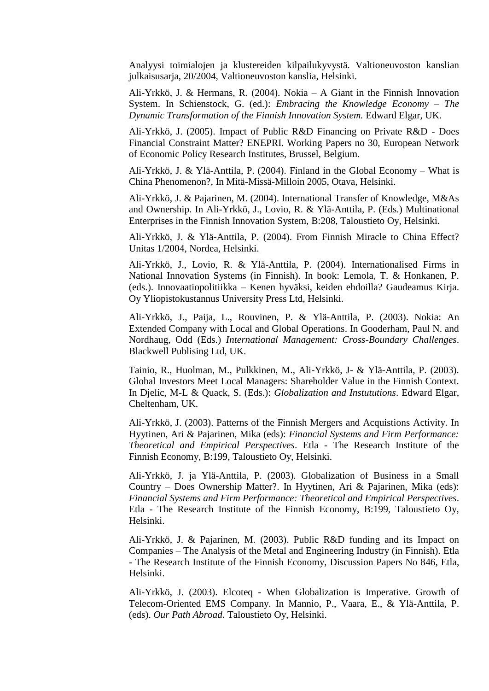Analyysi toimialojen ja klustereiden kilpailukyvystä. Valtioneuvoston kanslian julkaisusarja, 20/2004, Valtioneuvoston kanslia, Helsinki.

Ali-Yrkkö, J. & Hermans, R. (2004). Nokia – A Giant in the Finnish Innovation System. In Schienstock, G. (ed.): *Embracing the Knowledge Economy – The Dynamic Transformation of the Finnish Innovation System.* Edward Elgar, UK.

Ali-Yrkkö, J. (2005). Impact of Public R&D Financing on Private R&D - Does Financial Constraint Matter? ENEPRI. Working Papers no 30, European Network of Economic Policy Research Institutes, Brussel, Belgium.

Ali-Yrkkö, J. & Ylä-Anttila, P. (2004). Finland in the Global Economy – What is China Phenomenon?, In Mitä-Missä-Milloin 2005, Otava, Helsinki.

Ali-Yrkkö, J. & Pajarinen, M. (2004). International Transfer of Knowledge, M&As and Ownership. In Ali-Yrkkö, J., Lovio, R. & Ylä-Anttila, P. (Eds.) Multinational Enterprises in the Finnish Innovation System, B:208, Taloustieto Oy, Helsinki.

Ali-Yrkkö, J. & Ylä-Anttila, P. (2004). From Finnish Miracle to China Effect? Unitas 1/2004, Nordea, Helsinki.

Ali-Yrkkö, J., Lovio, R. & Ylä-Anttila, P. (2004). Internationalised Firms in National Innovation Systems (in Finnish). In book: Lemola, T. & Honkanen, P. (eds.). Innovaatiopolitiikka – Kenen hyväksi, keiden ehdoilla? Gaudeamus Kirja. Oy Yliopistokustannus University Press Ltd, Helsinki.

Ali-Yrkkö, J., Paija, L., Rouvinen, P. & Ylä-Anttila, P. (2003). Nokia: An Extended Company with Local and Global Operations. In Gooderham, Paul N. and Nordhaug, Odd (Eds.) *International Management: Cross-Boundary Challenges*. Blackwell Publising Ltd, UK.

Tainio, R., Huolman, M., Pulkkinen, M., Ali-Yrkkö, J- & Ylä-Anttila, P. (2003). Global Investors Meet Local Managers: Shareholder Value in the Finnish Context. In Djelic, M-L & Quack, S. (Eds.): *Globalization and Instututions*. Edward Elgar, Cheltenham, UK.

Ali-Yrkkö, J. (2003). Patterns of the Finnish Mergers and Acquistions Activity. In Hyytinen, Ari & Pajarinen, Mika (eds): *Financial Systems and Firm Performance: Theoretical and Empirical Perspectives*. Etla - The Research Institute of the Finnish Economy, B:199, Taloustieto Oy, Helsinki.

Ali-Yrkkö, J. ja Ylä-Anttila, P. (2003). Globalization of Business in a Small Country – Does Ownership Matter?. In Hyytinen, Ari & Pajarinen, Mika (eds): *Financial Systems and Firm Performance: Theoretical and Empirical Perspectives*. Etla - The Research Institute of the Finnish Economy, B:199, Taloustieto Oy, Helsinki.

Ali-Yrkkö, J. & Pajarinen, M. (2003). Public R&D funding and its Impact on Companies – The Analysis of the Metal and Engineering Industry (in Finnish). Etla - The Research Institute of the Finnish Economy, Discussion Papers No 846, Etla, Helsinki.

Ali-Yrkkö, J. (2003). Elcoteq - When Globalization is Imperative. Growth of Telecom-Oriented EMS Company. In Mannio, P., Vaara, E., & Ylä-Anttila, P. (eds). *Our Path Abroad*. Taloustieto Oy, Helsinki.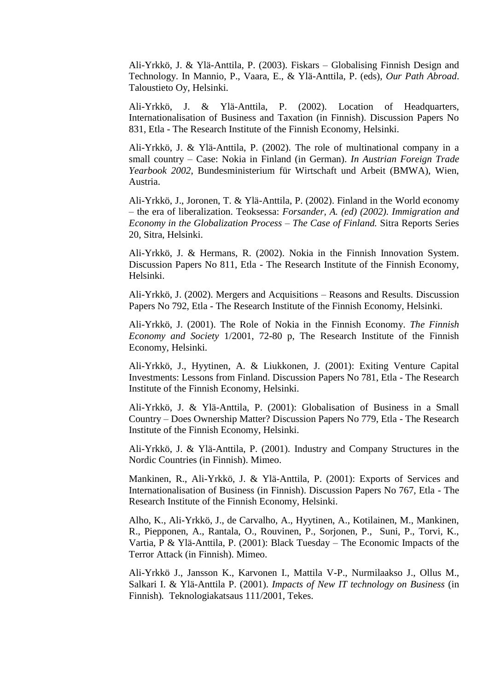Ali-Yrkkö, J. & Ylä-Anttila, P. (2003). Fiskars – Globalising Finnish Design and Technology. In Mannio, P., Vaara, E., & Ylä-Anttila, P. (eds), *Our Path Abroad*. Taloustieto Oy, Helsinki.

Ali-Yrkkö, J. & Ylä-Anttila, P. (2002). Location of Headquarters, Internationalisation of Business and Taxation (in Finnish). Discussion Papers No 831, Etla - The Research Institute of the Finnish Economy, Helsinki.

Ali-Yrkkö, J. & Ylä-Anttila, P. (2002). The role of multinational company in a small country – Case: Nokia in Finland (in German). *In Austrian Foreign Trade Yearbook 2002*, Bundesministerium für Wirtschaft und Arbeit (BMWA), Wien, Austria.

Ali-Yrkkö, J., Joronen, T. & Ylä-Anttila, P. (2002). Finland in the World economy – the era of liberalization. Teoksessa: *Forsander, A. (ed) (2002). Immigration and Economy in the Globalization Process – The Case of Finland.* Sitra Reports Series 20, Sitra, Helsinki.

Ali-Yrkkö, J. & Hermans, R. (2002). Nokia in the Finnish Innovation System. Discussion Papers No 811, Etla - The Research Institute of the Finnish Economy, Helsinki.

Ali-Yrkkö, J. (2002). Mergers and Acquisitions – Reasons and Results. Discussion Papers No 792, Etla - The Research Institute of the Finnish Economy, Helsinki.

Ali-Yrkkö, J. (2001). The Role of Nokia in the Finnish Economy. *The Finnish Economy and Society* 1/2001, 72-80 p, The Research Institute of the Finnish Economy, Helsinki.

Ali-Yrkkö, J., Hyytinen, A. & Liukkonen, J. (2001): Exiting Venture Capital Investments: Lessons from Finland. Discussion Papers No 781, Etla - The Research Institute of the Finnish Economy, Helsinki.

Ali-Yrkkö, J. & Ylä-Anttila, P. (2001): Globalisation of Business in a Small Country – Does Ownership Matter? Discussion Papers No 779, Etla - The Research Institute of the Finnish Economy, Helsinki.

Ali-Yrkkö, J. & Ylä-Anttila, P. (2001). Industry and Company Structures in the Nordic Countries (in Finnish). Mimeo.

Mankinen, R., Ali-Yrkkö, J. & Ylä-Anttila, P. (2001): Exports of Services and Internationalisation of Business (in Finnish). Discussion Papers No 767, Etla - The Research Institute of the Finnish Economy, Helsinki.

Alho, K., Ali-Yrkkö, J., de Carvalho, A., Hyytinen, A., Kotilainen, M., Mankinen, R., Piepponen, A., Rantala, O., Rouvinen, P., Sorjonen, P., Suni, P., Torvi, K., Vartia, P & Ylä-Anttila, P. (2001): Black Tuesday – The Economic Impacts of the Terror Attack (in Finnish). Mimeo.

Ali-Yrkkö J., Jansson K., Karvonen I., Mattila V-P., Nurmilaakso J., Ollus M., Salkari I. & Ylä-Anttila P. (2001). *Impacts of New IT technology on Business* (in Finnish)*.* Teknologiakatsaus 111/2001, Tekes.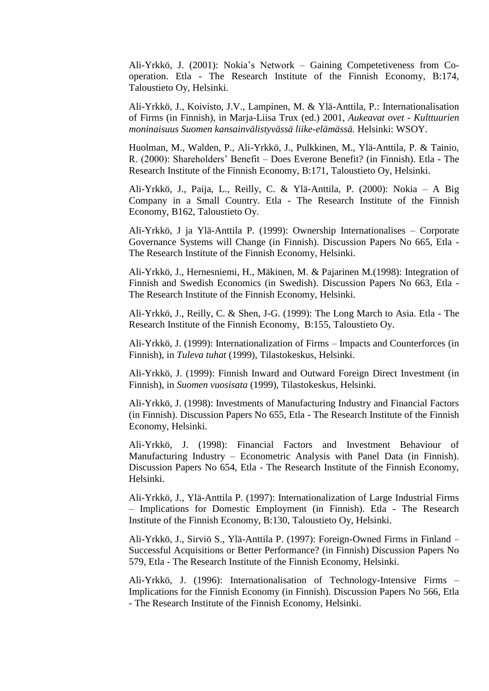Ali-Yrkkö, J. (2001): Nokia's Network – Gaining Competetiveness from Cooperation. Etla - The Research Institute of the Finnish Economy, B:174, Taloustieto Oy, Helsinki.

Ali-Yrkkö, J., Koivisto, J.V., Lampinen, M. & Ylä-Anttila, P.: Internationalisation of Firms (in Finnish), in Marja-Liisa Trux (ed.) 2001, *Aukeavat ovet - Kulttuurien moninaisuus Suomen kansainvälistyvässä liike-elämässä.* Helsinki: WSOY.

Huolman, M., Walden, P., Ali-Yrkkö, J., Pulkkinen, M., Ylä-Anttila, P. & Tainio, R. (2000): Shareholders' Benefit – Does Everone Benefit? (in Finnish). Etla - The Research Institute of the Finnish Economy, B:171, Taloustieto Oy, Helsinki.

Ali-Yrkkö, J., Paija, L., Reilly, C. & Ylä-Anttila, P. (2000): Nokia – A Big Company in a Small Country. Etla - The Research Institute of the Finnish Economy, B162, Taloustieto Oy.

Ali-Yrkkö, J ja Ylä-Anttila P. (1999): Ownership Internationalises – Corporate Governance Systems will Change (in Finnish). Discussion Papers No 665, Etla - The Research Institute of the Finnish Economy, Helsinki.

Ali-Yrkkö, J., Hernesniemi, H., Mäkinen, M. & Pajarinen M.(1998): Integration of Finnish and Swedish Economics (in Swedish). Discussion Papers No 663, Etla - The Research Institute of the Finnish Economy, Helsinki.

Ali-Yrkkö, J., Reilly, C. & Shen, J-G. (1999): The Long March to Asia. Etla - The Research Institute of the Finnish Economy, B:155, Taloustieto Oy.

Ali-Yrkkö, J. (1999): Internationalization of Firms – Impacts and Counterforces (in Finnish), in *Tuleva tuhat* (1999), Tilastokeskus, Helsinki.

Ali-Yrkkö, J. (1999): Finnish Inward and Outward Foreign Direct Investment (in Finnish), in *Suomen vuosisata* (1999)*,* Tilastokeskus, Helsinki.

Ali-Yrkkö, J. (1998): Investments of Manufacturing Industry and Financial Factors (in Finnish). Discussion Papers No 655, Etla - The Research Institute of the Finnish Economy, Helsinki.

Ali-Yrkkö, J. (1998): Financial Factors and Investment Behaviour of Manufacturing Industry – Econometric Analysis with Panel Data (in Finnish). Discussion Papers No 654, Etla - The Research Institute of the Finnish Economy, Helsinki.

Ali-Yrkkö, J., Ylä-Anttila P. (1997): Internationalization of Large Industrial Firms – Implications for Domestic Employment (in Finnish). Etla - The Research Institute of the Finnish Economy, B:130, Taloustieto Oy, Helsinki.

Ali-Yrkkö, J., Sirviö S., Ylä-Anttila P. (1997): Foreign-Owned Firms in Finland – Successful Acquisitions or Better Performance? (in Finnish) Discussion Papers No 579, Etla - The Research Institute of the Finnish Economy, Helsinki.

Ali-Yrkkö, J. (1996): Internationalisation of Technology-Intensive Firms – Implications for the Finnish Economy (in Finnish). Discussion Papers No 566, Etla - The Research Institute of the Finnish Economy, Helsinki.